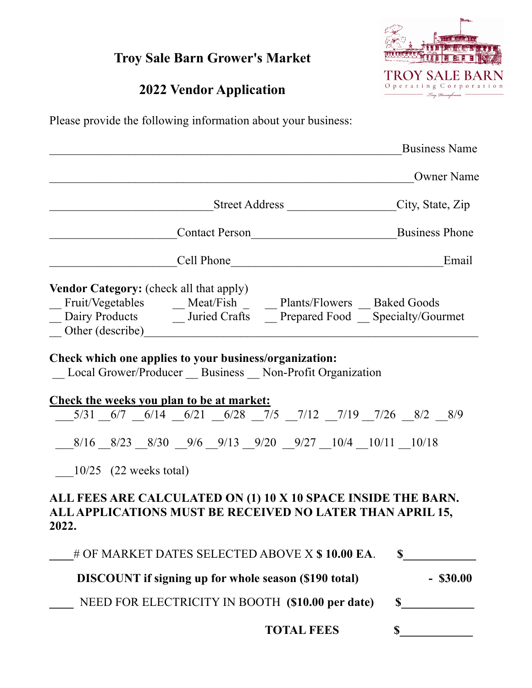## **Troy Sale Barn Grower's Market**

## **2022 Vendor Application**

**TROY SALE BAF** Operating Corporation Droy, Dennsylvania

Please provide the following information about your business:

|                                                                                                                                                                                                                 | <b>Business Name</b> |
|-----------------------------------------------------------------------------------------------------------------------------------------------------------------------------------------------------------------|----------------------|
|                                                                                                                                                                                                                 | <b>Owner Name</b>    |
| ______________Street Address ______________________________City, State, Zip                                                                                                                                     |                      |
| Contact Person<br>Business Phone                                                                                                                                                                                |                      |
| Cell Phone                                                                                                                                                                                                      | Email                |
| <b>Vendor Category:</b> (check all that apply)<br>Fruit/Vegetables ______ Meat/Fish ________ Plants/Flowers ____ Baked Goods<br>Dairy Products ______ Juried Crafts _____ Prepared Food _____ Specialty/Gourmet |                      |
| Check which one applies to your business/organization:<br>Local Grower/Producer Business Non-Profit Organization                                                                                                |                      |
| Check the weeks you plan to be at market:                                                                                                                                                                       |                      |
| $\frac{5}{31}$ $\frac{6}{7}$ $\frac{6}{14}$ $\frac{6}{21}$ $\frac{6}{28}$ $\frac{7}{5}$ $\frac{7}{12}$ $\frac{7}{19}$ $\frac{7}{26}$ $\frac{8}{2}$ $\frac{8}{9}$                                                |                      |
| $8/16$ $8/23$ $8/30$ $9/6$ $9/13$ $9/20$ $9/27$ $10/4$ $10/11$ $10/18$                                                                                                                                          |                      |
| $10/25$ (22 weeks total)                                                                                                                                                                                        |                      |
| ALL FEES ARE CALCULATED ON (1) 10 X 10 SPACE INSIDE THE BARN.<br>ALL APPLICATIONS MUST BE RECEIVED NO LATER THAN APRIL 15,<br>2022.                                                                             |                      |
| # OF MARKET DATES SELECTED ABOVE X \$10.00 EA.                                                                                                                                                                  | $\mathbf S$          |
| <b>DISCOUNT</b> if signing up for whole season (\$190 total)                                                                                                                                                    | $-$ \$30.00          |
| NEED FOR ELECTRICITY IN BOOTH (\$10.00 per date)                                                                                                                                                                | \$                   |
| <b>TOTAL FEES</b>                                                                                                                                                                                               | $\mathbf S$          |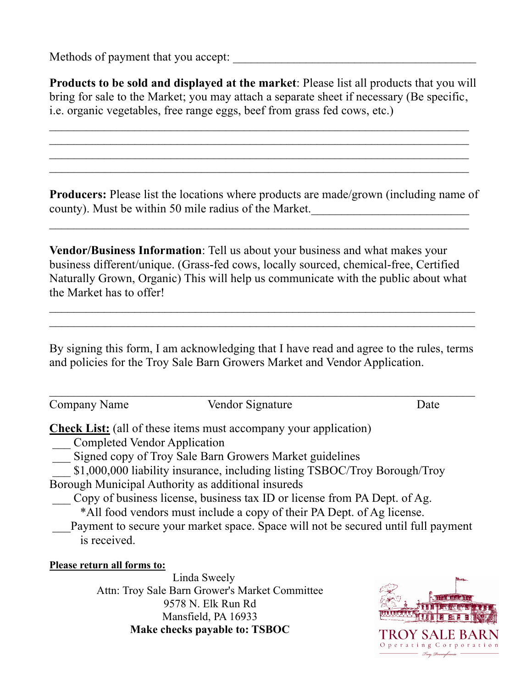Methods of payment that you accept:

| <b>Products to be sold and displayed at the market:</b> Please list all products that you will |
|------------------------------------------------------------------------------------------------|
| bring for sale to the Market; you may attach a separate sheet if necessary (Be specific,       |
| i.e. organic vegetables, free range eggs, beef from grass fed cows, etc.)                      |

 $\mathcal{L}_\mathcal{L} = \mathcal{L}_\mathcal{L} = \mathcal{L}_\mathcal{L} = \mathcal{L}_\mathcal{L} = \mathcal{L}_\mathcal{L} = \mathcal{L}_\mathcal{L} = \mathcal{L}_\mathcal{L} = \mathcal{L}_\mathcal{L} = \mathcal{L}_\mathcal{L} = \mathcal{L}_\mathcal{L} = \mathcal{L}_\mathcal{L} = \mathcal{L}_\mathcal{L} = \mathcal{L}_\mathcal{L} = \mathcal{L}_\mathcal{L} = \mathcal{L}_\mathcal{L} = \mathcal{L}_\mathcal{L} = \mathcal{L}_\mathcal{L}$ 

 $\mathcal{L}_\text{max} = \frac{1}{2} \sum_{i=1}^n \mathcal{L}_\text{max}(\mathbf{x}_i - \mathbf{y}_i)$ 

**Producers:** Please list the locations where products are made/grown (including name of county). Must be within 50 mile radius of the Market.

**Vendor/Business Information**: Tell us about your business and what makes your business different/unique. (Grass-fed cows, locally sourced, chemical-free, Certified Naturally Grown, Organic) This will help us communicate with the public about what the Market has to offer!

By signing this form, I am acknowledging that I have read and agree to the rules, terms and policies for the Troy Sale Barn Growers Market and Vendor Application.

 $\mathcal{L}_\mathcal{L} = \mathcal{L}_\mathcal{L} = \mathcal{L}_\mathcal{L} = \mathcal{L}_\mathcal{L} = \mathcal{L}_\mathcal{L} = \mathcal{L}_\mathcal{L} = \mathcal{L}_\mathcal{L} = \mathcal{L}_\mathcal{L} = \mathcal{L}_\mathcal{L} = \mathcal{L}_\mathcal{L} = \mathcal{L}_\mathcal{L} = \mathcal{L}_\mathcal{L} = \mathcal{L}_\mathcal{L} = \mathcal{L}_\mathcal{L} = \mathcal{L}_\mathcal{L} = \mathcal{L}_\mathcal{L} = \mathcal{L}_\mathcal{L}$ 

 $\mathcal{L}_\mathcal{L} = \mathcal{L}_\mathcal{L} = \mathcal{L}_\mathcal{L} = \mathcal{L}_\mathcal{L} = \mathcal{L}_\mathcal{L} = \mathcal{L}_\mathcal{L} = \mathcal{L}_\mathcal{L} = \mathcal{L}_\mathcal{L} = \mathcal{L}_\mathcal{L} = \mathcal{L}_\mathcal{L} = \mathcal{L}_\mathcal{L} = \mathcal{L}_\mathcal{L} = \mathcal{L}_\mathcal{L} = \mathcal{L}_\mathcal{L} = \mathcal{L}_\mathcal{L} = \mathcal{L}_\mathcal{L} = \mathcal{L}_\mathcal{L}$  $\mathcal{L}_\mathcal{L} = \mathcal{L}_\mathcal{L} = \mathcal{L}_\mathcal{L} = \mathcal{L}_\mathcal{L} = \mathcal{L}_\mathcal{L} = \mathcal{L}_\mathcal{L} = \mathcal{L}_\mathcal{L} = \mathcal{L}_\mathcal{L} = \mathcal{L}_\mathcal{L} = \mathcal{L}_\mathcal{L} = \mathcal{L}_\mathcal{L} = \mathcal{L}_\mathcal{L} = \mathcal{L}_\mathcal{L} = \mathcal{L}_\mathcal{L} = \mathcal{L}_\mathcal{L} = \mathcal{L}_\mathcal{L} = \mathcal{L}_\mathcal{L}$ 

Company Name Vendor Signature Date

**Check List:** (all of these items must accompany your application)

\_\_\_ Completed Vendor Application

Signed copy of Troy Sale Barn Growers Market guidelines

\$1,000,000 liability insurance, including listing TSBOC/Troy Borough/Troy

Borough Municipal Authority as additional insureds

Copy of business license, business tax ID or license from PA Dept. of Ag.

\*All food vendors must include a copy of their PA Dept. of Ag license.

Payment to secure your market space. Space will not be secured until full payment is received.

## **Please return all forms to:**

Linda Sweely Attn: Troy Sale Barn Grower's Market Committee 9578 N. Elk Run Rd Mansfield, PA 16933 **Make checks payable to: TSBOC**